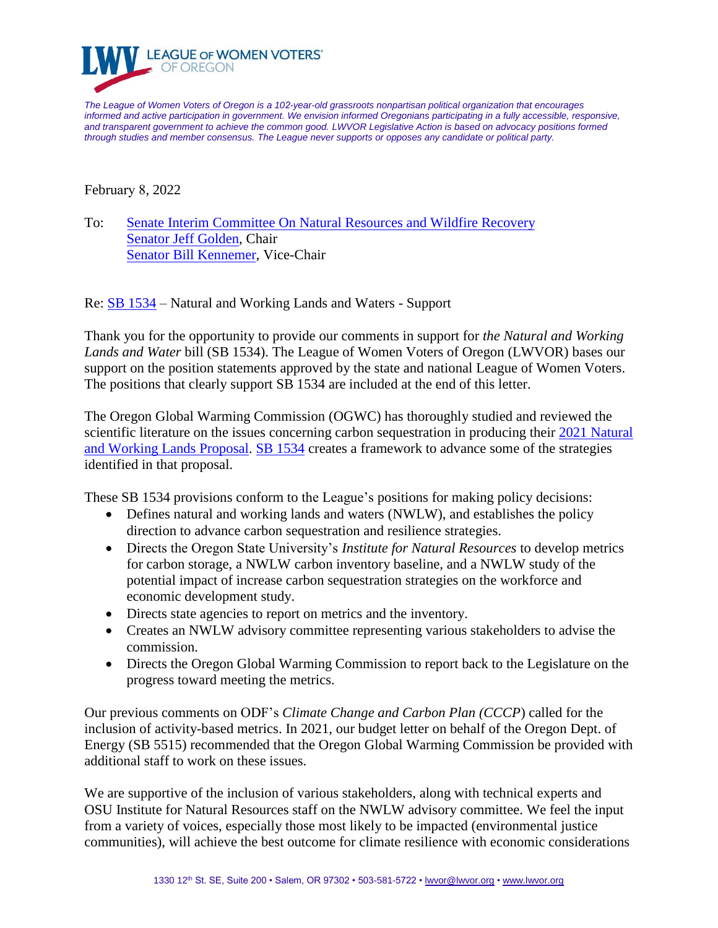

*The League of Women Voters of Oregon is a 102-year-old grassroots nonpartisan political organization that encourages informed and active participation in government. We envision informed Oregonians participating in a fully accessible, responsive, and transparent government to achieve the common good. LWVOR Legislative Action is based on advocacy positions formed through studies and member consensus. The League never supports or opposes any candidate or political party.* 

February 8, 2022

To: Senate Interim Committee On [Natural Resources and Wildfire Recovery](https://olis.oregonlegislature.gov/liz/2021I1/Committees/SNRWR/Overview) [Senator Jeff Golden,](mailto:Sen.JeffGolden@oregonlegislature.gov) Chair [Senator Bill Kennemer,](mailto:Sen.BillKennemer@oregonlegislature.gov) Vice-Chair

Re: [SB 1534](https://olis.oregonlegislature.gov/liz/2022R1/Downloads/MeasureDocument/SB1534/Introduced) – Natural and Working Lands and Waters - Support

Thank you for the opportunity to provide our comments in support for *the Natural and Working Lands and Water* bill (SB 1534). The League of Women Voters of Oregon (LWVOR) bases our support on the position statements approved by the state and national League of Women Voters. The positions that clearly support SB 1534 are included at the end of this letter.

The Oregon Global Warming Commission (OGWC) has thoroughly studied and reviewed the scientific literature on the issues concerning carbon sequestration in producing their 2021 Natural [and Working Lands Proposal.](https://static1.squarespace.com/static/59c554e0f09ca40655ea6eb0/t/6148a9d36431174181e05c7c/1632152029009/2021+OGWC+Natural+and+Working+Lands+Proposal.pdf) [SB 1534](https://olis.oregonlegislature.gov/liz/2022R1/Downloads/MeasureDocument/SB1534/Introduced) creates a framework to advance some of the strategies identified in that proposal.

These SB 1534 provisions conform to the League's positions for making policy decisions:

- Defines natural and working lands and waters (NWLW), and establishes the policy direction to advance carbon sequestration and resilience strategies.
- Directs the Oregon State University's *Institute for Natural Resources* to develop metrics for carbon storage, a NWLW carbon inventory baseline, and a NWLW study of the potential impact of increase carbon sequestration strategies on the workforce and economic development study.
- Directs state agencies to report on metrics and the inventory.
- Creates an NWLW advisory committee representing various stakeholders to advise the commission.
- Directs the Oregon Global Warming Commission to report back to the Legislature on the progress toward meeting the metrics.

Our previous comments on ODF's *Climate Change and Carbon Plan (CCCP*) called for the inclusion of activity-based metrics. In 2021, our budget letter on behalf of the Oregon Dept. of Energy (SB 5515) recommended that the Oregon Global Warming Commission be provided with additional staff to work on these issues.

We are supportive of the inclusion of various stakeholders, along with technical experts and OSU Institute for Natural Resources staff on the NWLW advisory committee. We feel the input from a variety of voices, especially those most likely to be impacted (environmental justice communities), will achieve the best outcome for climate resilience with economic considerations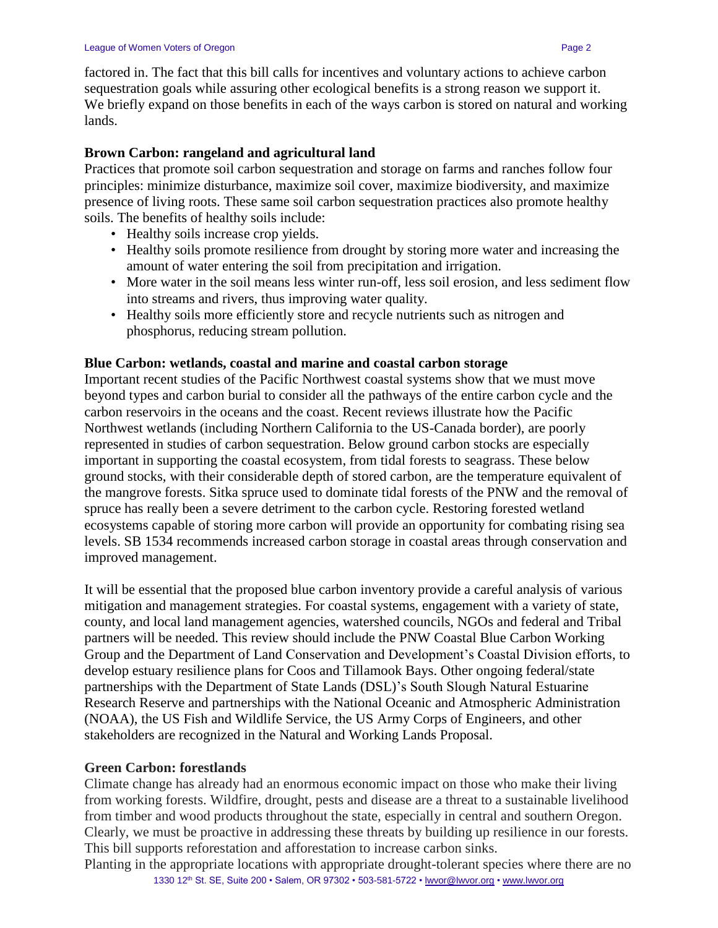## **Brown Carbon: rangeland and agricultural land**

Practices that promote soil carbon sequestration and storage on farms and ranches follow four principles: minimize disturbance, maximize soil cover, maximize biodiversity, and maximize presence of living roots. These same soil carbon sequestration practices also promote healthy soils. The benefits of healthy soils include:

- Healthy soils increase crop yields.
- Healthy soils promote resilience from drought by storing more water and increasing the amount of water entering the soil from precipitation and irrigation.
- More water in the soil means less winter run-off, less soil erosion, and less sediment flow into streams and rivers, thus improving water quality.
- Healthy soils more efficiently store and recycle nutrients such as nitrogen and phosphorus, reducing stream pollution.

## **Blue Carbon: wetlands, coastal and marine and coastal carbon storage**

Important recent studies of the Pacific Northwest coastal systems show that we must move beyond types and carbon burial to consider all the pathways of the entire carbon cycle and the carbon reservoirs in the oceans and the coast. Recent reviews illustrate how the Pacific Northwest wetlands (including Northern California to the US-Canada border), are poorly represented in studies of carbon sequestration. Below ground carbon stocks are especially important in supporting the coastal ecosystem, from tidal forests to seagrass. These below ground stocks, with their considerable depth of stored carbon, are the temperature equivalent of the mangrove forests. Sitka spruce used to dominate tidal forests of the PNW and the removal of spruce has really been a severe detriment to the carbon cycle. Restoring forested wetland ecosystems capable of storing more carbon will provide an opportunity for combating rising sea levels. SB 1534 recommends increased carbon storage in coastal areas through conservation and improved management.

It will be essential that the proposed blue carbon inventory provide a careful analysis of various mitigation and management strategies. For coastal systems, engagement with a variety of state, county, and local land management agencies, watershed councils, NGOs and federal and Tribal partners will be needed. This review should include the PNW Coastal Blue Carbon Working Group and the Department of Land Conservation and Development's Coastal Division efforts, to develop estuary resilience plans for Coos and Tillamook Bays. Other ongoing federal/state partnerships with the Department of State Lands (DSL)'s South Slough Natural Estuarine Research Reserve and partnerships with the National Oceanic and Atmospheric Administration (NOAA), the US Fish and Wildlife Service, the US Army Corps of Engineers, and other stakeholders are recognized in the Natural and Working Lands Proposal.

## **Green Carbon: forestlands**

Climate change has already had an enormous economic impact on those who make their living from working forests. Wildfire, drought, pests and disease are a threat to a sustainable livelihood from timber and wood products throughout the state, especially in central and southern Oregon. Clearly, we must be proactive in addressing these threats by building up resilience in our forests. This bill supports reforestation and afforestation to increase carbon sinks.

1330 12<sup>th</sup> St. SE, Suite 200 • Salem, OR 97302 • 503-581-5722 [• lwvor@lwvor.org](mailto:lwvor@lwvor.org) • [www.lwvor.org](http://www.lwvor.org/) Planting in the appropriate locations with appropriate drought-tolerant species where there are no